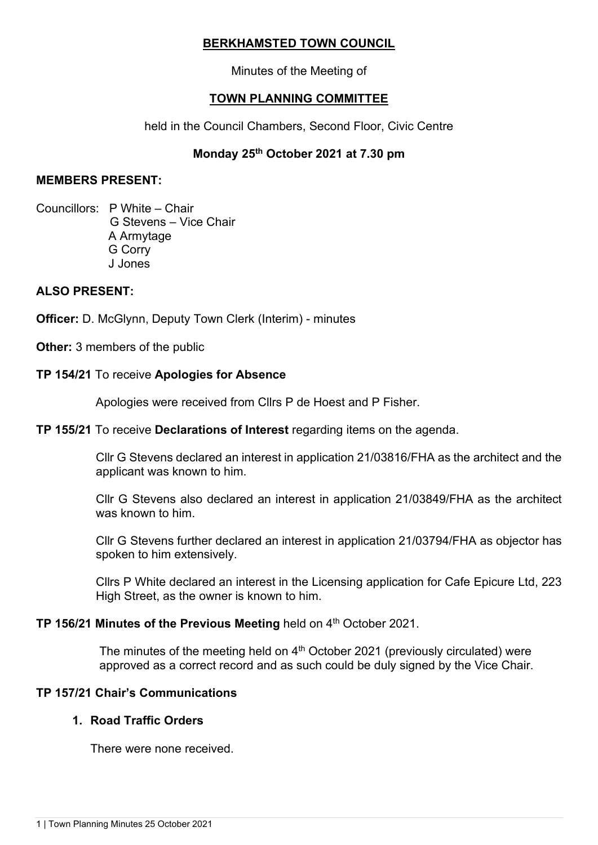# **BERKHAMSTED TOWN COUNCIL**

Minutes of the Meeting of

# **TOWN PLANNING COMMITTEE**

held in the Council Chambers, Second Floor, Civic Centre

# **Monday 25th October 2021 at 7.30 pm**

### **MEMBERS PRESENT:**

Councillors: P White – Chair G Stevens – Vice Chair A Armytage G Corry J Jones

# **ALSO PRESENT:**

**Officer:** D. McGlynn, Deputy Town Clerk (Interim) - minutes

**Other:** 3 members of the public

# **TP 154/21** To receive **Apologies for Absence**

Apologies were received from Cllrs P de Hoest and P Fisher.

# **TP 155/21** To receive **Declarations of Interest** regarding items on the agenda.

Cllr G Stevens declared an interest in application 21/03816/FHA as the architect and the applicant was known to him.

Cllr G Stevens also declared an interest in application 21/03849/FHA as the architect was known to him.

Cllr G Stevens further declared an interest in application 21/03794/FHA as objector has spoken to him extensively.

Cllrs P White declared an interest in the Licensing application for Cafe Epicure Ltd, 223 High Street, as the owner is known to him.

# **TP** 156/21 Minutes of the Previous Meeting held on 4<sup>th</sup> October 2021.

The minutes of the meeting held on  $4<sup>th</sup>$  October 2021 (previously circulated) were approved as a correct record and as such could be duly signed by the Vice Chair.

# **TP 157/21 Chair's Communications**

# **1. Road Traffic Orders**

There were none received.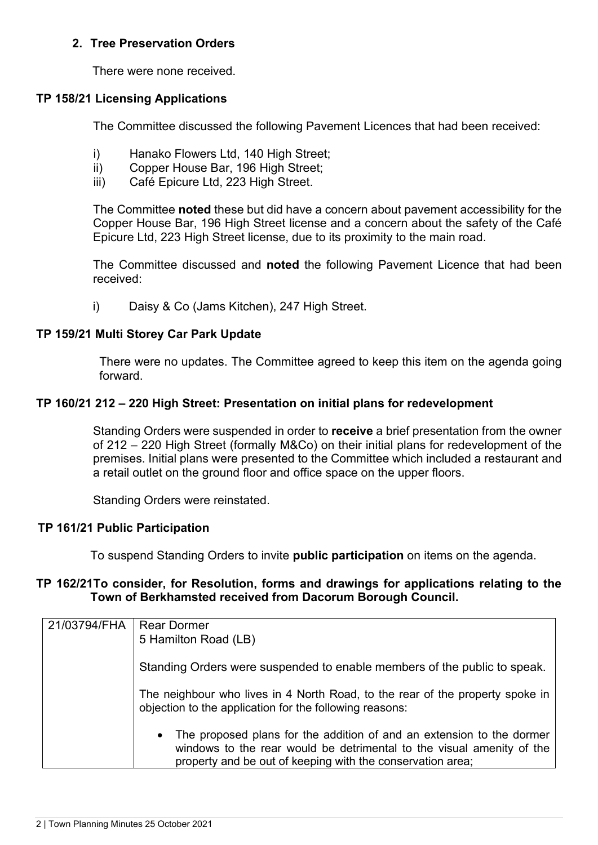### **2. Tree Preservation Orders**

There were none received.

### **TP 158/21 Licensing Applications**

The Committee discussed the following Pavement Licences that had been received:

- i) Hanako Flowers Ltd, 140 High Street:
- ii) Copper House Bar, 196 High Street;
- iii) Café Epicure Ltd, 223 High Street.

The Committee **noted** these but did have a concern about pavement accessibility for the Copper House Bar, 196 High Street license and a concern about the safety of the Café Epicure Ltd, 223 High Street license, due to its proximity to the main road.

The Committee discussed and **noted** the following Pavement Licence that had been received:

i) Daisy & Co (Jams Kitchen), 247 High Street.

### **TP 159/21 Multi Storey Car Park Update**

There were no updates. The Committee agreed to keep this item on the agenda going forward.

### **TP 160/21 212 – 220 High Street: Presentation on initial plans for redevelopment**

Standing Orders were suspended in order to **receive** a brief presentation from the owner of 212 – 220 High Street (formally M&Co) on their initial plans for redevelopment of the premises. Initial plans were presented to the Committee which included a restaurant and a retail outlet on the ground floor and office space on the upper floors.

Standing Orders were reinstated.

### **TP 161/21 Public Participation**

To suspend Standing Orders to invite **public participation** on items on the agenda.

### **TP 162/21To consider, for Resolution, forms and drawings for applications relating to the Town of Berkhamsted received from Dacorum Borough Council.**

| 21/03794/FHA | <b>Rear Dormer</b><br>5 Hamilton Road (LB)                                                                                                                                                                     |
|--------------|----------------------------------------------------------------------------------------------------------------------------------------------------------------------------------------------------------------|
|              | Standing Orders were suspended to enable members of the public to speak.                                                                                                                                       |
|              | The neighbour who lives in 4 North Road, to the rear of the property spoke in<br>objection to the application for the following reasons:                                                                       |
|              | • The proposed plans for the addition of and an extension to the dormer<br>windows to the rear would be detrimental to the visual amenity of the<br>property and be out of keeping with the conservation area; |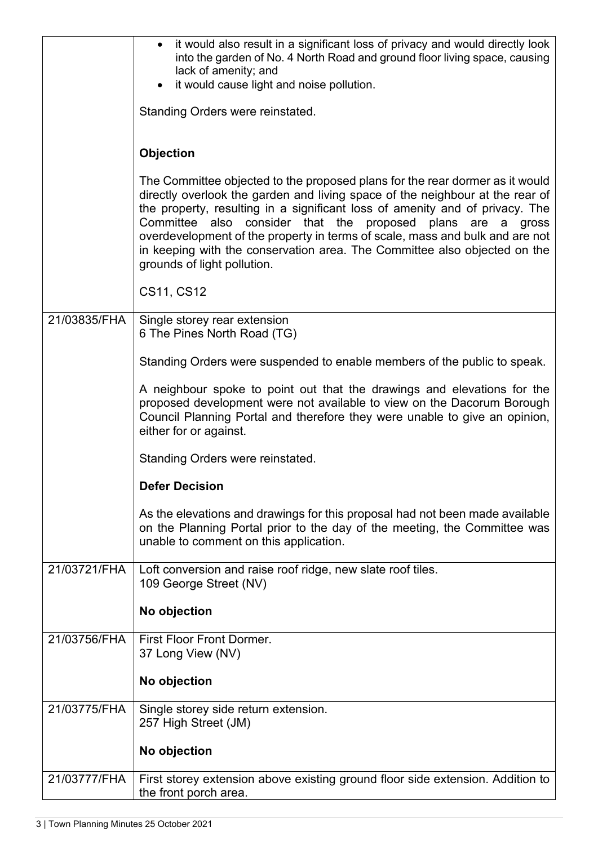|              | it would also result in a significant loss of privacy and would directly look<br>into the garden of No. 4 North Road and ground floor living space, causing<br>lack of amenity; and<br>it would cause light and noise pollution.                                                                                                                                                                                                                                                                         |
|--------------|----------------------------------------------------------------------------------------------------------------------------------------------------------------------------------------------------------------------------------------------------------------------------------------------------------------------------------------------------------------------------------------------------------------------------------------------------------------------------------------------------------|
|              | Standing Orders were reinstated.                                                                                                                                                                                                                                                                                                                                                                                                                                                                         |
|              | <b>Objection</b>                                                                                                                                                                                                                                                                                                                                                                                                                                                                                         |
|              | The Committee objected to the proposed plans for the rear dormer as it would<br>directly overlook the garden and living space of the neighbour at the rear of<br>the property, resulting in a significant loss of amenity and of privacy. The<br>Committee also consider that the proposed plans are a gross<br>overdevelopment of the property in terms of scale, mass and bulk and are not<br>in keeping with the conservation area. The Committee also objected on the<br>grounds of light pollution. |
|              | CS11, CS12                                                                                                                                                                                                                                                                                                                                                                                                                                                                                               |
| 21/03835/FHA | Single storey rear extension<br>6 The Pines North Road (TG)                                                                                                                                                                                                                                                                                                                                                                                                                                              |
|              | Standing Orders were suspended to enable members of the public to speak.                                                                                                                                                                                                                                                                                                                                                                                                                                 |
|              | A neighbour spoke to point out that the drawings and elevations for the<br>proposed development were not available to view on the Dacorum Borough<br>Council Planning Portal and therefore they were unable to give an opinion,<br>either for or against.                                                                                                                                                                                                                                                |
|              | Standing Orders were reinstated.                                                                                                                                                                                                                                                                                                                                                                                                                                                                         |
|              | <b>Defer Decision</b>                                                                                                                                                                                                                                                                                                                                                                                                                                                                                    |
|              | As the elevations and drawings for this proposal had not been made available<br>on the Planning Portal prior to the day of the meeting, the Committee was<br>unable to comment on this application.                                                                                                                                                                                                                                                                                                      |
| 21/03721/FHA | Loft conversion and raise roof ridge, new slate roof tiles.<br>109 George Street (NV)                                                                                                                                                                                                                                                                                                                                                                                                                    |
|              | No objection                                                                                                                                                                                                                                                                                                                                                                                                                                                                                             |
| 21/03756/FHA | <b>First Floor Front Dormer.</b><br>37 Long View (NV)                                                                                                                                                                                                                                                                                                                                                                                                                                                    |
|              | No objection                                                                                                                                                                                                                                                                                                                                                                                                                                                                                             |
| 21/03775/FHA | Single storey side return extension.<br>257 High Street (JM)                                                                                                                                                                                                                                                                                                                                                                                                                                             |
|              | No objection                                                                                                                                                                                                                                                                                                                                                                                                                                                                                             |
| 21/03777/FHA | First storey extension above existing ground floor side extension. Addition to<br>the front porch area.                                                                                                                                                                                                                                                                                                                                                                                                  |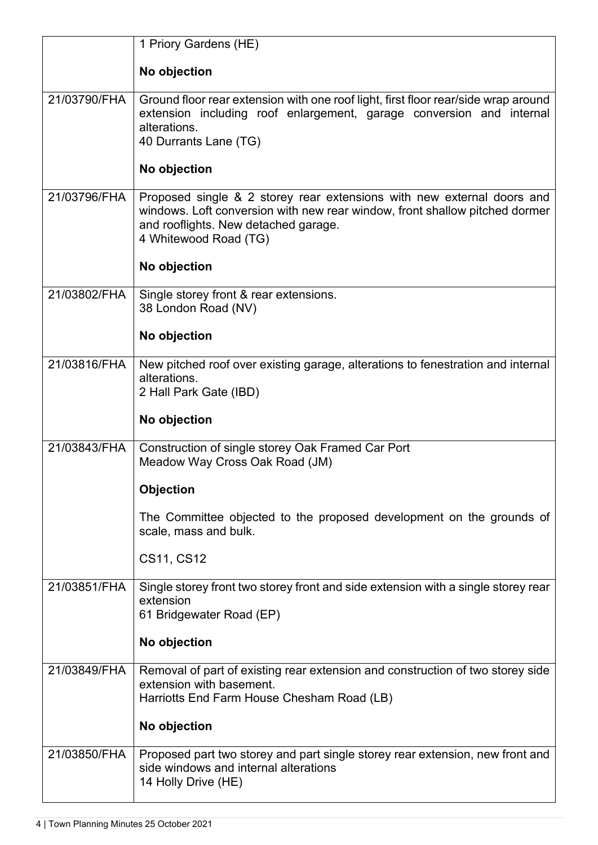|              | 1 Priory Gardens (HE)                                                                                                                                                                                                  |
|--------------|------------------------------------------------------------------------------------------------------------------------------------------------------------------------------------------------------------------------|
|              | No objection                                                                                                                                                                                                           |
| 21/03790/FHA | Ground floor rear extension with one roof light, first floor rear/side wrap around<br>extension including roof enlargement, garage conversion and internal<br>alterations.<br>40 Durrants Lane (TG)                    |
|              | No objection                                                                                                                                                                                                           |
| 21/03796/FHA | Proposed single & 2 storey rear extensions with new external doors and<br>windows. Loft conversion with new rear window, front shallow pitched dormer<br>and rooflights. New detached garage.<br>4 Whitewood Road (TG) |
|              | No objection                                                                                                                                                                                                           |
| 21/03802/FHA | Single storey front & rear extensions.<br>38 London Road (NV)                                                                                                                                                          |
|              | No objection                                                                                                                                                                                                           |
| 21/03816/FHA | New pitched roof over existing garage, alterations to fenestration and internal<br>alterations.<br>2 Hall Park Gate (IBD)                                                                                              |
|              | No objection                                                                                                                                                                                                           |
| 21/03843/FHA | Construction of single storey Oak Framed Car Port<br>Meadow Way Cross Oak Road (JM)                                                                                                                                    |
|              | <b>Objection</b>                                                                                                                                                                                                       |
|              | The Committee objected to the proposed development on the grounds of<br>scale, mass and bulk.                                                                                                                          |
|              | CS11, CS12                                                                                                                                                                                                             |
| 21/03851/FHA | Single storey front two storey front and side extension with a single storey rear<br>extension<br>61 Bridgewater Road (EP)                                                                                             |
|              | No objection                                                                                                                                                                                                           |
| 21/03849/FHA | Removal of part of existing rear extension and construction of two storey side<br>extension with basement.<br>Harriotts End Farm House Chesham Road (LB)                                                               |
|              | No objection                                                                                                                                                                                                           |
| 21/03850/FHA | Proposed part two storey and part single storey rear extension, new front and<br>side windows and internal alterations<br>14 Holly Drive (HE)                                                                          |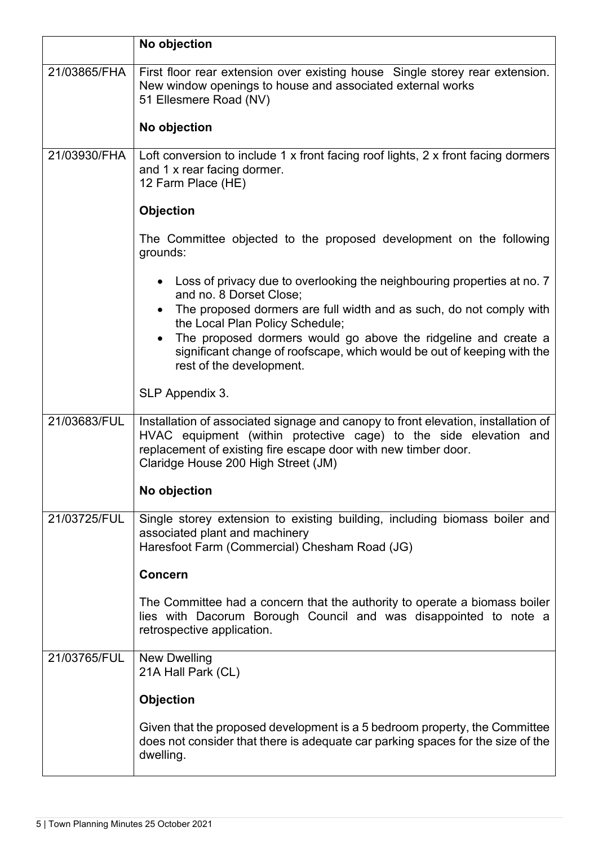|              | No objection                                                                                                                                                                                                                                                    |
|--------------|-----------------------------------------------------------------------------------------------------------------------------------------------------------------------------------------------------------------------------------------------------------------|
| 21/03865/FHA | First floor rear extension over existing house Single storey rear extension.<br>New window openings to house and associated external works<br>51 Ellesmere Road (NV)                                                                                            |
|              | No objection                                                                                                                                                                                                                                                    |
| 21/03930/FHA | Loft conversion to include 1 x front facing roof lights, 2 x front facing dormers<br>and 1 x rear facing dormer.<br>12 Farm Place (HE)                                                                                                                          |
|              | <b>Objection</b>                                                                                                                                                                                                                                                |
|              | The Committee objected to the proposed development on the following<br>grounds:                                                                                                                                                                                 |
|              | Loss of privacy due to overlooking the neighbouring properties at no. 7<br>and no. 8 Dorset Close;<br>The proposed dormers are full width and as such, do not comply with                                                                                       |
|              | the Local Plan Policy Schedule;<br>The proposed dormers would go above the ridgeline and create a<br>significant change of roofscape, which would be out of keeping with the<br>rest of the development.                                                        |
|              | SLP Appendix 3.                                                                                                                                                                                                                                                 |
| 21/03683/FUL | Installation of associated signage and canopy to front elevation, installation of<br>HVAC equipment (within protective cage) to the side elevation and<br>replacement of existing fire escape door with new timber door.<br>Claridge House 200 High Street (JM) |
|              | No objection                                                                                                                                                                                                                                                    |
| 21/03725/FUL | Single storey extension to existing building, including biomass boiler and<br>associated plant and machinery<br>Haresfoot Farm (Commercial) Chesham Road (JG)                                                                                                   |
|              | <b>Concern</b>                                                                                                                                                                                                                                                  |
|              | The Committee had a concern that the authority to operate a biomass boiler<br>lies with Dacorum Borough Council and was disappointed to note a<br>retrospective application.                                                                                    |
| 21/03765/FUL | New Dwelling<br>21A Hall Park (CL)                                                                                                                                                                                                                              |
|              | <b>Objection</b>                                                                                                                                                                                                                                                |
|              | Given that the proposed development is a 5 bedroom property, the Committee<br>does not consider that there is adequate car parking spaces for the size of the<br>dwelling.                                                                                      |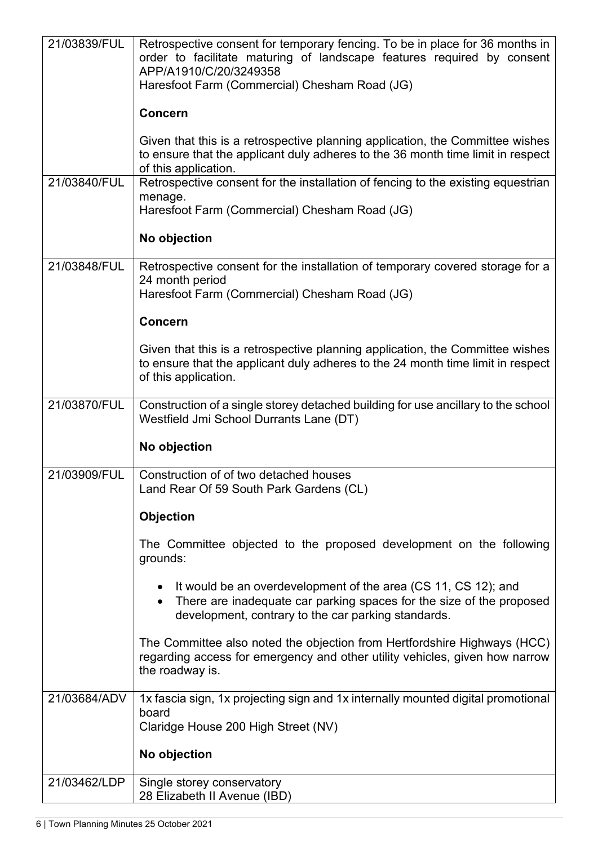| 21/03839/FUL | Retrospective consent for temporary fencing. To be in place for 36 months in<br>order to facilitate maturing of landscape features required by consent<br>APP/A1910/C/20/3249358<br>Haresfoot Farm (Commercial) Chesham Road (JG) |
|--------------|-----------------------------------------------------------------------------------------------------------------------------------------------------------------------------------------------------------------------------------|
|              | <b>Concern</b>                                                                                                                                                                                                                    |
|              | Given that this is a retrospective planning application, the Committee wishes<br>to ensure that the applicant duly adheres to the 36 month time limit in respect<br>of this application.                                          |
| 21/03840/FUL | Retrospective consent for the installation of fencing to the existing equestrian<br>menage.<br>Haresfoot Farm (Commercial) Chesham Road (JG)                                                                                      |
|              | No objection                                                                                                                                                                                                                      |
| 21/03848/FUL | Retrospective consent for the installation of temporary covered storage for a<br>24 month period<br>Haresfoot Farm (Commercial) Chesham Road (JG)                                                                                 |
|              | <b>Concern</b>                                                                                                                                                                                                                    |
|              | Given that this is a retrospective planning application, the Committee wishes<br>to ensure that the applicant duly adheres to the 24 month time limit in respect<br>of this application.                                          |
| 21/03870/FUL | Construction of a single storey detached building for use ancillary to the school<br>Westfield Jmi School Durrants Lane (DT)                                                                                                      |
|              | No objection                                                                                                                                                                                                                      |
| 21/03909/FUL | Construction of of two detached houses<br>Land Rear Of 59 South Park Gardens (CL)                                                                                                                                                 |
|              | Objection                                                                                                                                                                                                                         |
|              | The Committee objected to the proposed development on the following<br>grounds:                                                                                                                                                   |
|              | It would be an overdevelopment of the area (CS 11, CS 12); and<br>There are inadequate car parking spaces for the size of the proposed<br>development, contrary to the car parking standards.                                     |
|              | The Committee also noted the objection from Hertfordshire Highways (HCC)<br>regarding access for emergency and other utility vehicles, given how narrow<br>the roadway is.                                                        |
| 21/03684/ADV | 1x fascia sign, 1x projecting sign and 1x internally mounted digital promotional<br>board<br>Claridge House 200 High Street (NV)                                                                                                  |
|              | No objection                                                                                                                                                                                                                      |
| 21/03462/LDP | Single storey conservatory                                                                                                                                                                                                        |
|              | 28 Elizabeth II Avenue (IBD)                                                                                                                                                                                                      |